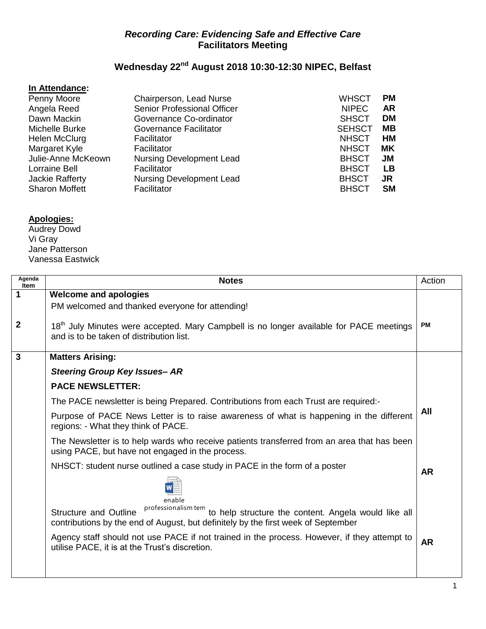## *Recording Care: Evidencing Safe and Effective Care* **Facilitators Meeting**

## **Wednesday 22nd August 2018 10:30-12:30 NIPEC, Belfast**

## **In Attendance:**

| Chairperson, Lead Nurse         | <b>WHSCT</b>  | <b>PM</b> |
|---------------------------------|---------------|-----------|
| Senior Professional Officer     | <b>NIPEC</b>  | <b>AR</b> |
| Governance Co-ordinator         | <b>SHSCT</b>  | DM        |
| Governance Facilitator          | <b>SEHSCT</b> | MВ        |
| Facilitator                     | <b>NHSCT</b>  | <b>HM</b> |
| Facilitator                     | <b>NHSCT</b>  | МK        |
| <b>Nursing Development Lead</b> | <b>BHSCT</b>  | JM        |
| Facilitator                     | <b>BHSCT</b>  | <b>LB</b> |
| <b>Nursing Development Lead</b> | <b>BHSCT</b>  | JR        |
| Facilitator                     | <b>BHSCT</b>  | <b>SM</b> |
|                                 |               |           |

## **Apologies:**

Audrey Dowd Vi Gray Jane Patterson Vanessa Eastwick

| Agenda<br>Item | <b>Notes</b>                                                                                                                                                                                               | Action    |
|----------------|------------------------------------------------------------------------------------------------------------------------------------------------------------------------------------------------------------|-----------|
| 1              | <b>Welcome and apologies</b>                                                                                                                                                                               |           |
|                | PM welcomed and thanked everyone for attending!                                                                                                                                                            |           |
| $\overline{2}$ | 18 <sup>th</sup> July Minutes were accepted. Mary Campbell is no longer available for PACE meetings<br>and is to be taken of distribution list.                                                            | PМ        |
| $\mathbf{3}$   | <b>Matters Arising:</b>                                                                                                                                                                                    |           |
|                | <b>Steering Group Key Issues- AR</b>                                                                                                                                                                       |           |
|                | <b>PACE NEWSLETTER:</b>                                                                                                                                                                                    |           |
|                | The PACE newsletter is being Prepared. Contributions from each Trust are required:-                                                                                                                        |           |
|                | Purpose of PACE News Letter is to raise awareness of what is happening in the different<br>regions: - What they think of PACE.                                                                             | All       |
|                | The Newsletter is to help wards who receive patients transferred from an area that has been<br>using PACE, but have not engaged in the process.                                                            |           |
|                | NHSCT: student nurse outlined a case study in PACE in the form of a poster                                                                                                                                 | <b>AR</b> |
|                |                                                                                                                                                                                                            |           |
|                | enable<br>professionalism tem<br>to help structure the content. Angela would like all<br><b>Structure and Outline</b><br>contributions by the end of August, but definitely by the first week of September |           |
|                | Agency staff should not use PACE if not trained in the process. However, if they attempt to<br>utilise PACE, it is at the Trust's discretion.                                                              | <b>AR</b> |
|                |                                                                                                                                                                                                            |           |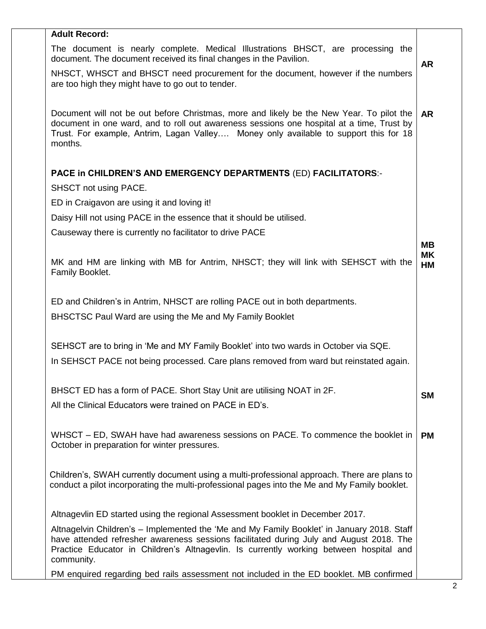| <b>Adult Record:</b>                                                                                                                                                                                                                                                                     |                        |
|------------------------------------------------------------------------------------------------------------------------------------------------------------------------------------------------------------------------------------------------------------------------------------------|------------------------|
| The document is nearly complete. Medical Illustrations BHSCT, are processing the<br>document. The document received its final changes in the Pavilion.                                                                                                                                   | <b>AR</b>              |
| NHSCT, WHSCT and BHSCT need procurement for the document, however if the numbers<br>are too high they might have to go out to tender.                                                                                                                                                    |                        |
| Document will not be out before Christmas, more and likely be the New Year. To pilot the<br>document in one ward, and to roll out awareness sessions one hospital at a time, Trust by<br>Trust. For example, Antrim, Lagan Valley Money only available to support this for 18<br>months. | <b>AR</b>              |
| <b>PACE in CHILDREN'S AND EMERGENCY DEPARTMENTS (ED) FACILITATORS:-</b>                                                                                                                                                                                                                  |                        |
| SHSCT not using PACE.                                                                                                                                                                                                                                                                    |                        |
| ED in Craigavon are using it and loving it!                                                                                                                                                                                                                                              |                        |
| Daisy Hill not using PACE in the essence that it should be utilised.                                                                                                                                                                                                                     |                        |
| Causeway there is currently no facilitator to drive PACE                                                                                                                                                                                                                                 |                        |
|                                                                                                                                                                                                                                                                                          | <b>MB</b>              |
| MK and HM are linking with MB for Antrim, NHSCT; they will link with SEHSCT with the<br>Family Booklet.                                                                                                                                                                                  | <b>MK</b><br><b>HM</b> |
| ED and Children's in Antrim, NHSCT are rolling PACE out in both departments.                                                                                                                                                                                                             |                        |
| BHSCTSC Paul Ward are using the Me and My Family Booklet                                                                                                                                                                                                                                 |                        |
|                                                                                                                                                                                                                                                                                          |                        |
| SEHSCT are to bring in 'Me and MY Family Booklet' into two wards in October via SQE.                                                                                                                                                                                                     |                        |
| In SEHSCT PACE not being processed. Care plans removed from ward but reinstated again.                                                                                                                                                                                                   |                        |
|                                                                                                                                                                                                                                                                                          |                        |
| BHSCT ED has a form of PACE. Short Stay Unit are utilising NOAT in 2F.                                                                                                                                                                                                                   | <b>SM</b>              |
| All the Clinical Educators were trained on PACE in ED's.                                                                                                                                                                                                                                 |                        |
|                                                                                                                                                                                                                                                                                          |                        |
| WHSCT – ED, SWAH have had awareness sessions on PACE. To commence the booklet in                                                                                                                                                                                                         | <b>PM</b>              |
| October in preparation for winter pressures.                                                                                                                                                                                                                                             |                        |
|                                                                                                                                                                                                                                                                                          |                        |
| Children's, SWAH currently document using a multi-professional approach. There are plans to<br>conduct a pilot incorporating the multi-professional pages into the Me and My Family booklet.                                                                                             |                        |
|                                                                                                                                                                                                                                                                                          |                        |
| Altnagevlin ED started using the regional Assessment booklet in December 2017.                                                                                                                                                                                                           |                        |
| Altnagelvin Children's - Implemented the 'Me and My Family Booklet' in January 2018. Staff                                                                                                                                                                                               |                        |
| have attended refresher awareness sessions facilitated during July and August 2018. The                                                                                                                                                                                                  |                        |
| Practice Educator in Children's Altnagevlin. Is currently working between hospital and<br>community.                                                                                                                                                                                     |                        |
| PM enquired regarding bed rails assessment not included in the ED booklet. MB confirmed                                                                                                                                                                                                  |                        |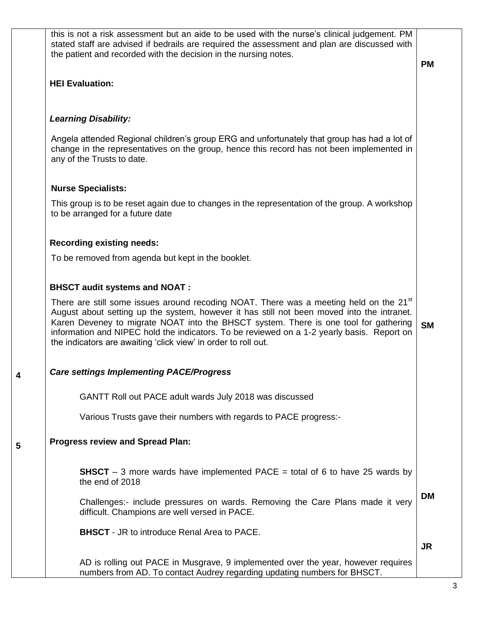| this is not a risk assessment but an aide to be used with the nurse's clinical judgement. PM<br>stated staff are advised if bedrails are required the assessment and plan are discussed with<br>the patient and recorded with the decision in the nursing notes.                                                                                                                                                                                         | <b>PM</b> |
|----------------------------------------------------------------------------------------------------------------------------------------------------------------------------------------------------------------------------------------------------------------------------------------------------------------------------------------------------------------------------------------------------------------------------------------------------------|-----------|
| <b>HEI Evaluation:</b>                                                                                                                                                                                                                                                                                                                                                                                                                                   |           |
| <b>Learning Disability:</b>                                                                                                                                                                                                                                                                                                                                                                                                                              |           |
| Angela attended Regional children's group ERG and unfortunately that group has had a lot of<br>change in the representatives on the group, hence this record has not been implemented in<br>any of the Trusts to date.                                                                                                                                                                                                                                   |           |
| <b>Nurse Specialists:</b>                                                                                                                                                                                                                                                                                                                                                                                                                                |           |
| This group is to be reset again due to changes in the representation of the group. A workshop<br>to be arranged for a future date                                                                                                                                                                                                                                                                                                                        |           |
| <b>Recording existing needs:</b>                                                                                                                                                                                                                                                                                                                                                                                                                         |           |
| To be removed from agenda but kept in the booklet.                                                                                                                                                                                                                                                                                                                                                                                                       |           |
| <b>BHSCT audit systems and NOAT:</b>                                                                                                                                                                                                                                                                                                                                                                                                                     |           |
| There are still some issues around recoding NOAT. There was a meeting held on the 21 <sup>st</sup><br>August about setting up the system, however it has still not been moved into the intranet.<br>Karen Deveney to migrate NOAT into the BHSCT system. There is one tool for gathering<br>information and NIPEC hold the indicators. To be reviewed on a 1-2 yearly basis. Report on<br>the indicators are awaiting 'click view' in order to roll out. | <b>SM</b> |
| <b>Care settings Implementing PACE/Progress</b>                                                                                                                                                                                                                                                                                                                                                                                                          |           |
| GANTT Roll out PACE adult wards July 2018 was discussed                                                                                                                                                                                                                                                                                                                                                                                                  |           |
| Various Trusts gave their numbers with regards to PACE progress:-                                                                                                                                                                                                                                                                                                                                                                                        |           |
| <b>Progress review and Spread Plan:</b>                                                                                                                                                                                                                                                                                                                                                                                                                  |           |
| <b>SHSCT</b> – 3 more wards have implemented PACE = total of 6 to have 25 wards by<br>the end of 2018                                                                                                                                                                                                                                                                                                                                                    |           |
| Challenges:- include pressures on wards. Removing the Care Plans made it very<br>difficult. Champions are well versed in PACE.                                                                                                                                                                                                                                                                                                                           | <b>DM</b> |
| <b>BHSCT</b> - JR to introduce Renal Area to PACE.                                                                                                                                                                                                                                                                                                                                                                                                       |           |
| AD is rolling out PACE in Musgrave, 9 implemented over the year, however requires                                                                                                                                                                                                                                                                                                                                                                        | <b>JR</b> |
| numbers from AD. To contact Audrey regarding updating numbers for BHSCT.                                                                                                                                                                                                                                                                                                                                                                                 |           |

**4**

**5**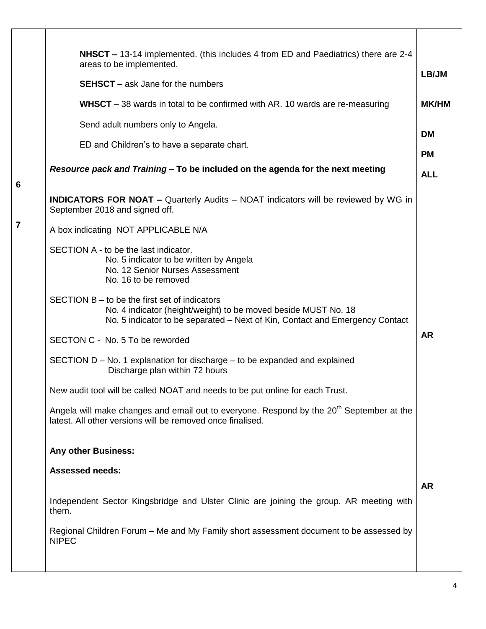|                 | NHSCT – 13-14 implemented. (this includes 4 from ED and Paediatrics) there are 2-4<br>areas to be implemented.<br><b>SEHSCT</b> – ask Jane for the numbers                                      | LB/JM        |
|-----------------|-------------------------------------------------------------------------------------------------------------------------------------------------------------------------------------------------|--------------|
|                 | <b>WHSCT</b> – 38 wards in total to be confirmed with AR. 10 wards are re-measuring                                                                                                             | <b>MK/HM</b> |
|                 | Send adult numbers only to Angela.                                                                                                                                                              | <b>DM</b>    |
|                 | ED and Children's to have a separate chart.                                                                                                                                                     | <b>PM</b>    |
| $6\phantom{1}6$ | Resource pack and Training – To be included on the agenda for the next meeting                                                                                                                  | <b>ALL</b>   |
|                 | <b>INDICATORS FOR NOAT - Quarterly Audits - NOAT indicators will be reviewed by WG in</b><br>September 2018 and signed off.                                                                     |              |
| $\overline{7}$  | A box indicating NOT APPLICABLE N/A                                                                                                                                                             |              |
|                 | SECTION A - to be the last indicator.<br>No. 5 indicator to be written by Angela<br>No. 12 Senior Nurses Assessment<br>No. 16 to be removed                                                     |              |
|                 | SECTION B – to be the first set of indicators<br>No. 4 indicator (height/weight) to be moved beside MUST No. 18<br>No. 5 indicator to be separated – Next of Kin, Contact and Emergency Contact |              |
|                 | SECTON C - No. 5 To be reworded                                                                                                                                                                 | <b>AR</b>    |
|                 | SECTION D – No. 1 explanation for discharge – to be expanded and explained<br>Discharge plan within 72 hours                                                                                    |              |
|                 | New audit tool will be called NOAT and needs to be put online for each Trust.                                                                                                                   |              |
|                 | Angela will make changes and email out to everyone. Respond by the 20 <sup>th</sup> September at the<br>latest. All other versions will be removed once finalised.                              |              |
|                 | <b>Any other Business:</b>                                                                                                                                                                      |              |
|                 | <b>Assessed needs:</b>                                                                                                                                                                          |              |
|                 | Independent Sector Kingsbridge and Ulster Clinic are joining the group. AR meeting with<br>them.                                                                                                | <b>AR</b>    |
|                 | Regional Children Forum – Me and My Family short assessment document to be assessed by<br><b>NIPEC</b>                                                                                          |              |
|                 |                                                                                                                                                                                                 |              |